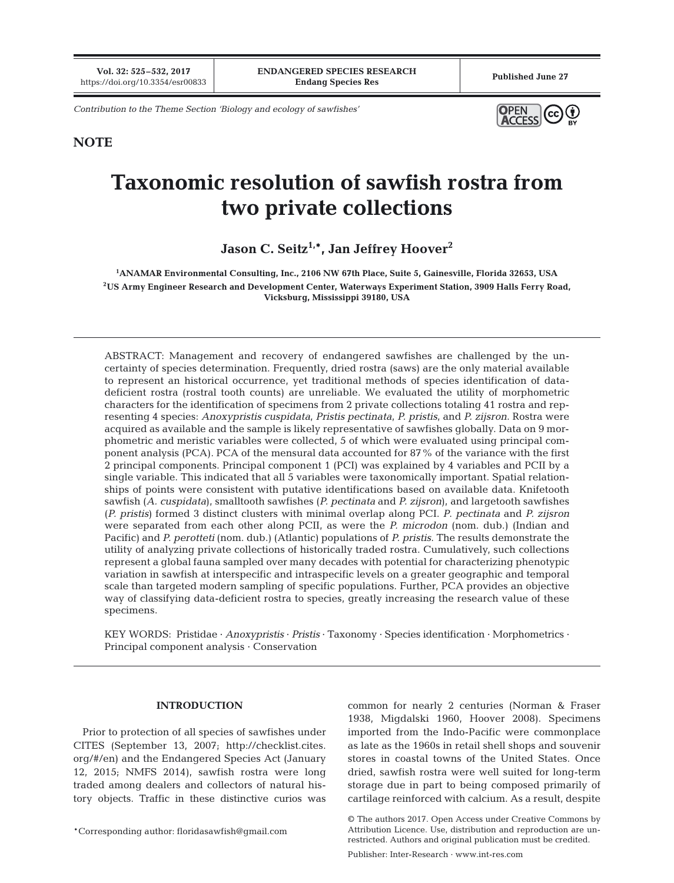*Contribution to the Theme Section 'Biology and ecology of sawfishes'*



# **NOTE**

# **Taxonomic resolution of sawfish rostra from two private collections**

Jason C. Seitz<sup>1,\*</sup>, Jan Jeffrey Hoover<sup>2</sup>

**1 ANAMAR Environmental Consulting, Inc., 2106 NW 67th Place, Suite 5, Gainesville, Florida 32653, USA 2US Army Engineer Research and Development Center, Waterways Experiment Station, 3909 Halls Ferry Road, Vicksburg, Mississippi 39180, USA**

ABSTRACT: Management and recovery of endangered sawfishes are challenged by the uncertainty of species determination. Frequently, dried rostra (saws) are the only material available to represent an historical occurrence, yet traditional methods of species identification of datadeficient rostra (rostral tooth counts) are unreliable. We evaluated the utility of morphometric characters for the identification of specimens from 2 private collections totaling 41 rostra and representing 4 species: *Anoxypristis cuspidata*, *Pristis pectinata*, *P. pristis*, and *P. zijsron*. Rostra were acquired as available and the sample is likely representative of sawfishes globally. Data on 9 morphometric and meristic variables were collected, 5 of which were evaluated using principal component analysis (PCA). PCA of the mensural data accounted for 87% of the variance with the first 2 principal components. Principal component 1 (PCI) was explained by 4 variables and PCII by a single variable. This indicated that all 5 variables were taxonomically important. Spatial relationships of points were consistent with putative identifications based on available data. Knifetooth sawfish (*A. cuspidata*), smalltooth sawfishes (*P. pectinata* and *P. zijsron*), and largetooth sawfishes (*P. pristis*) formed 3 distinct clusters with minimal overlap along PCI. *P*. *pectinata* and *P. zijsron* were separated from each other along PCII, as were the *P. microdon* (nom. dub.) (Indian and Pacific) and *P. perotteti* (nom. dub.) (Atlantic) populations of *P. pristis*. The results demonstrate the utility of analyzing private collections of historically traded rostra. Cumulatively, such collections represent a global fauna sampled over many decades with potential for characterizing phenotypic variation in sawfish at interspecific and intraspecific levels on a greater geographic and temporal scale than targeted modern sampling of specific populations. Further, PCA provides an objective way of classifying data-deficient rostra to species, greatly increasing the research value of these specimens.

KEY WORDS: Pristidae · *Anoxypristis* · *Pristis* · Taxonomy · Species identification · Morphometrics · Principal component analysis · Conservation

## **INTRODUCTION**

Prior to protection of all species of sawfishes under CITES (September 13, 2007; http://checklist. cites. org/#/en) and the Endangered Species Act (January 12, 2015; NMFS 2014), sawfish rostra were long traded among dealers and collectors of natural history objects. Traffic in these distinctive curios was

common for nearly 2 centuries (Norman & Fraser 1938, Migdalski 1960, Hoover 2008). Specimens imported from the Indo-Pacific were commonplace as late as the 1960s in retail shell shops and souvenir stores in coastal towns of the United States. Once dried, sawfish rostra were well suited for long-term storage due in part to being composed primarily of cartilage reinforced with calcium. As a result, despite

© The authors 2017. Open Access under Creative Commons by Attribution Licence. Use, distribution and reproduction are unrestricted. Authors and original publication must be credited.

Publisher: Inter-Research · www.int-res.com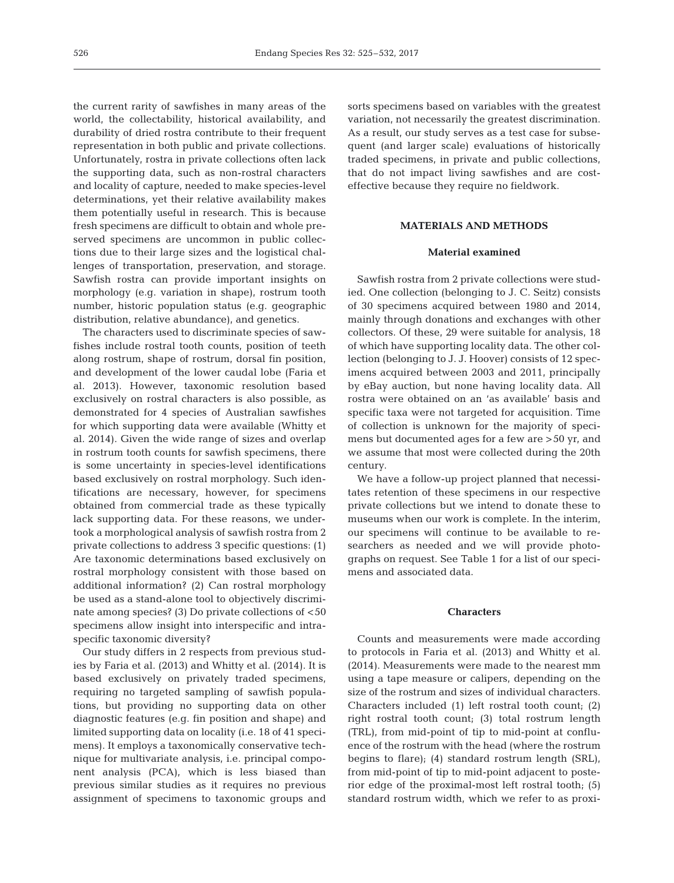the current rarity of sawfishes in many areas of the world, the collectability, historical availability, and durability of dried rostra contribute to their frequent representation in both public and private collections. Unfortunately, rostra in private collections often lack the supporting data, such as non-rostral characters and locality of capture, needed to make species-level determinations, yet their relative availability makes them potentially useful in research. This is because fresh specimens are difficult to obtain and whole preserved specimens are uncommon in public collections due to their large sizes and the logistical challenges of transportation, preservation, and storage. Sawfish rostra can provide important insights on morphology (e.g. variation in shape), rostrum tooth number, historic population status (e.g. geographic distribution, relative abundance), and genetics.

The characters used to discriminate species of sawfishes include rostral tooth counts, position of teeth along rostrum, shape of rostrum, dorsal fin position, and development of the lower caudal lobe (Faria et al. 2013). However, taxonomic resolution based exclusively on rostral characters is also possible, as demonstrated for 4 species of Australian sawfishes for which supporting data were available (Whitty et al. 2014). Given the wide range of sizes and overlap in rostrum tooth counts for sawfish specimens, there is some uncertainty in species-level identifications based exclusively on rostral morphology. Such identifications are necessary, however, for specimens obtained from commercial trade as these typically lack supporting data. For these reasons, we undertook a morphological analysis of sawfish rostra from 2 private collections to address 3 specific questions: (1) Are taxonomic determinations based exclusively on rostral morphology consistent with those based on additional information? (2) Can rostral morphology be used as a stand-alone tool to objectively discriminate among species? (3) Do private collections of <50 specimens allow insight into interspecific and intraspecific taxonomic diversity?

Our study differs in 2 respects from previous studies by Faria et al. (2013) and Whitty et al. (2014). It is based exclusively on privately traded specimens, requiring no targeted sampling of sawfish populations, but providing no supporting data on other diagnostic features (e.g. fin position and shape) and limited supporting data on locality (i.e. 18 of 41 speci mens). It employs a taxonomically conservative technique for multivariate analysis, i.e. principal component analysis (PCA), which is less biased than previous similar studies as it requires no previous assignment of specimens to taxonomic groups and

sorts specimens based on variables with the greatest variation, not necessarily the greatest discrimination. As a result, our study serves as a test case for subsequent (and larger scale) evaluations of historically traded specimens, in private and public collections, that do not impact living sawfishes and are costeffective because they require no fieldwork.

## **MATERIALS AND METHODS**

#### **Material examined**

Sawfish rostra from 2 private collections were studied. One collection (belonging to J. C. Seitz) consists of 30 specimens acquired between 1980 and 2014, mainly through donations and exchanges with other collectors. Of these, 29 were suitable for analysis, 18 of which have supporting locality data. The other collection (belonging to J. J. Hoover) consists of 12 specimens acquired between 2003 and 2011, principally by eBay auction, but none having locality data. All rostra were obtained on an 'as available' basis and specific taxa were not targeted for acquisition. Time of collection is unknown for the majority of specimens but documented ages for a few are >50 yr, and we assume that most were collected during the 20th century.

We have a follow-up project planned that necessitates retention of these specimens in our respective private collections but we intend to donate these to museums when our work is complete. In the interim, our specimens will continue to be available to re searchers as needed and we will provide photographs on request. See Table 1 for a list of our specimens and associated data.

## **Characters**

Counts and measurements were made according to protocols in Faria et al. (2013) and Whitty et al. (2014). Measurements were made to the nearest mm using a tape measure or calipers, depending on the size of the rostrum and sizes of individual characters. Characters included (1) left rostral tooth count; (2) right rostral tooth count; (3) total rostrum length (TRL), from mid-point of tip to mid-point at confluence of the rostrum with the head (where the rostrum begins to flare); (4) standard rostrum length (SRL), from mid-point of tip to mid-point adjacent to posterior edge of the proximal-most left rostral tooth; (5) standard rostrum width, which we refer to as proxi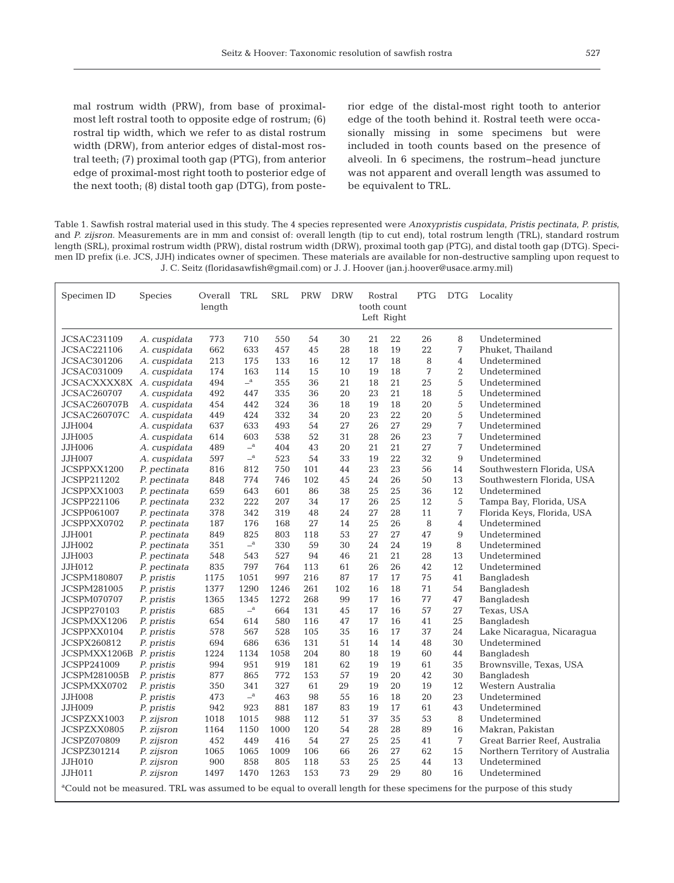mal rostrum width (PRW), from base of proximalmost left rostral tooth to opposite edge of rostrum; (6) rostral tip width, which we refer to as distal rostrum width (DRW), from anterior edges of distal-most rostral teeth; (7) proximal tooth gap (PTG), from anterior edge of proximal-most right tooth to posterior edge of the next tooth; (8) distal tooth gap (DTG), from posterior edge of the distal-most right tooth to anterior edge of the tooth behind it. Rostral teeth were occasionally missing in some specimens but were included in tooth counts based on the presence of alveoli. In 6 specimens, the rostrum−head juncture was not apparent and overall length was assumed to be equivalent to TRL.

Table 1. Sawfish rostral material used in this study. The 4 species represented were *Anoxypristis cuspidata*, *Pristis pectinata*, *P. pristis*, and *P. zijsron*. Measurements are in mm and consist of: overall length (tip to cut end), total rostrum length (TRL), standard rostrum length (SRL), proximal rostrum width (PRW), distal rostrum width (DRW), proximal tooth gap (PTG), and distal tooth gap (DTG). Specimen ID prefix (i.e. JCS, JJH) indicates owner of specimen. These materials are available for non-destructive sampling upon request to J. C. Seitz (floridasawfish@gmail.com) or J. J. Hoover (jan.j.hoover@usace.army.mil)

| Specimen ID                                                                                                                         | <b>Species</b> | Overall TRL<br>length |                            | <b>SRL</b> | PRW | <b>DRW</b> | Rostral<br>tooth count<br>Left Right |    | PTG | <b>DTG</b>     | Locality                        |
|-------------------------------------------------------------------------------------------------------------------------------------|----------------|-----------------------|----------------------------|------------|-----|------------|--------------------------------------|----|-----|----------------|---------------------------------|
| <b>JCSAC231109</b>                                                                                                                  | A. cuspidata   | 773                   | 710                        | 550        | 54  | 30         | 21                                   | 22 | 26  | 8              | Undetermined                    |
| <b>JCSAC221106</b>                                                                                                                  | A. cuspidata   | 662                   | 633                        | 457        | 45  | 28         | 18                                   | 19 | 22  | 7              | Phuket, Thailand                |
| <b>JCSAC301206</b>                                                                                                                  | A. cuspidata   | 213                   | 175                        | 133        | 16  | 12         | 17                                   | 18 | 8   | 4              | Undetermined                    |
| <b>JCSAC031009</b>                                                                                                                  | A. cuspidata   | 174                   | 163                        | 114        | 15  | 10         | 19                                   | 18 | 7   | $\overline{2}$ | Undetermined                    |
| JCSACXXXX8X A. cuspidata                                                                                                            |                | 494                   | $\mathbf{a}$               | 355        | 36  | 21         | 18                                   | 21 | 25  | 5              | Undetermined                    |
| <b>JCSAC260707</b>                                                                                                                  | A. cuspidata   | 492                   | 447                        | 335        | 36  | 20         | 23                                   | 21 | 18  | 5              | Undetermined                    |
| <b>JCSAC260707B</b>                                                                                                                 | A. cuspidata   | 454                   | 442                        | 324        | 36  | 18         | 19                                   | 18 | 20  | 5              | Undetermined                    |
| <b>JCSAC260707C</b>                                                                                                                 | A. cuspidata   | 449                   | 424                        | 332        | 34  | 20         | 23                                   | 22 | 20  | 5              | Undetermined                    |
| JJH004                                                                                                                              | A. cuspidata   | 637                   | 633                        | 493        | 54  | 27         | 26                                   | 27 | 29  | 7              | Undetermined                    |
| JJH005                                                                                                                              | A. cuspidata   | 614                   | 603                        | 538        | 52  | 31         | 28                                   | 26 | 23  | 7              | Undetermined                    |
| JJH006                                                                                                                              | A. cuspidata   | 489                   | $\mathbf{a}$               | 404        | 43  | 20         | 21                                   | 21 | 27  | 7              | Undetermined                    |
| JJH007                                                                                                                              | A. cuspidata   | 597                   | $\overline{\phantom{a}}^a$ | 523        | 54  | 33         | 19                                   | 22 | 32  | 9              | Undetermined                    |
| JCSPPXX1200                                                                                                                         | P. pectinata   | 816                   | 812                        | 750        | 101 | 44         | 23                                   | 23 | 56  | 14             | Southwestern Florida, USA       |
| JCSPP211202                                                                                                                         | P. pectinata   | 848                   | 774                        | 746        | 102 | 45         | 24                                   | 26 | 50  | 13             | Southwestern Florida, USA       |
| JCSPPXX1003                                                                                                                         | P. pectinata   | 659                   | 643                        | 601        | 86  | 38         | 25                                   | 25 | 36  | 12             | Undetermined                    |
| JCSPP221106                                                                                                                         | P. pectinata   | 232                   | 222                        | 207        | 34  | 17         | 26                                   | 25 | 12  | 5              | Tampa Bay, Florida, USA         |
| JCSPP061007                                                                                                                         | P. pectinata   | 378                   | 342                        | 319        | 48  | 24         | 27                                   | 28 | 11  | 7              | Florida Keys, Florida, USA      |
| JCSPPXX0702                                                                                                                         | P. pectinata   | 187                   | 176                        | 168        | 27  | 14         | 25                                   | 26 | 8   | 4              | Undetermined                    |
| JJH001                                                                                                                              | P. pectinata   | 849                   | 825                        | 803        | 118 | 53         | 27                                   | 27 | 47  | 9              | Undetermined                    |
| JJH002                                                                                                                              | P. pectinata   | 351                   | $-^{\mathrm{a}}$           | 330        | 59  | 30         | 24                                   | 24 | 19  | 8              | Undetermined                    |
| JJH003                                                                                                                              | P. pectinata   | 548                   | 543                        | 527        | 94  | 46         | 21                                   | 21 | 28  | 13             | Undetermined                    |
| JJH012                                                                                                                              | P. pectinata   | 835                   | 797                        | 764        | 113 | 61         | 26                                   | 26 | 42  | 12             | Undetermined                    |
| <b>JCSPM180807</b>                                                                                                                  | P. pristis     | 1175                  | 1051                       | 997        | 216 | 87         | 17                                   | 17 | 75  | 41             | Bangladesh                      |
| <b>JCSPM281005</b>                                                                                                                  | P. pristis     | 1377                  | 1290                       | 1246       | 261 | 102        | 16                                   | 18 | 71  | 54             | Bangladesh                      |
| JCSPM070707                                                                                                                         | P. pristis     | 1365                  | 1345                       | 1272       | 268 | 99         | 17                                   | 16 | 77  | 47             | Bangladesh                      |
| JCSPP270103                                                                                                                         | P. pristis     | 685                   | $-^{\mathrm{a}}$           | 664        | 131 | 45         | 17                                   | 16 | 57  | 27             | Texas, USA                      |
| JCSPMXX1206                                                                                                                         | P. pristis     | 654                   | 614                        | 580        | 116 | 47         | 17                                   | 16 | 41  | 25             | Bangladesh                      |
| JCSPPXX0104                                                                                                                         | P. pristis     | 578                   | 567                        | 528        | 105 | 35         | 16                                   | 17 | 37  | 24             | Lake Nicaraqua, Nicaraqua       |
| JCSPX260812                                                                                                                         | P. pristis     | 694                   | 686                        | 636        | 131 | 51         | 14                                   | 14 | 48  | 30             | Undetermined                    |
| JCSPMXX1206B                                                                                                                        | P. pristis     | 1224                  | 1134                       | 1058       | 204 | 80         | 18                                   | 19 | 60  | 44             | Bangladesh                      |
| JCSPP241009                                                                                                                         | P. pristis     | 994                   | 951                        | 919        | 181 | 62         | 19                                   | 19 | 61  | 35             | Brownsville, Texas, USA         |
| JCSPM281005B                                                                                                                        | P. pristis     | 877                   | 865                        | 772        | 153 | 57         | 19                                   | 20 | 42  | 30             | Bangladesh                      |
| JCSPMXX0702                                                                                                                         | P. pristis     | 350                   | 341                        | 327        | 61  | 29         | 19                                   | 20 | 19  | 12             | Western Australia               |
| <b>JJH008</b>                                                                                                                       | P. pristis     | 473                   | $\overline{\phantom{a}}^a$ | 463        | 98  | 55         | 16                                   | 18 | 20  | 23             | Undetermined                    |
| JJH009                                                                                                                              | P. pristis     | 942                   | 923                        | 881        | 187 | 83         | 19                                   | 17 | 61  | 43             | Undetermined                    |
| JCSPZXX1003                                                                                                                         | P. zijsron     | 1018                  | 1015                       | 988        | 112 | 51         | 37                                   | 35 | 53  | 8              | Undetermined                    |
| JCSPZXX0805                                                                                                                         | P. zijsron     | 1164                  | 1150                       | 1000       | 120 | 54         | 28                                   | 28 | 89  | 16             | Makran, Pakistan                |
| JCSPZ070809                                                                                                                         | P. zijsron     | 452                   | 449                        | 416        | 54  | 27         | 25                                   | 25 | 41  | 7              | Great Barrier Reef, Australia   |
| JCSPZ301214                                                                                                                         | P. zijsron     | 1065                  | 1065                       | 1009       | 106 | 66         | 26                                   | 27 | 62  | 15             | Northern Territory of Australia |
| JJH010                                                                                                                              | P. zijsron     | 900                   | 858                        | 805        | 118 | 53         | 25                                   | 25 | 44  | 13             | Undetermined                    |
| JJH011                                                                                                                              | P. zijsron     | 1497                  | 1470                       | 1263       | 153 | 73         | 29                                   | 29 | 80  | 16             | Undetermined                    |
| <sup>a</sup> Could not be measured. TRL was assumed to be equal to overall length for these specimens for the purpose of this study |                |                       |                            |            |     |            |                                      |    |     |                |                                 |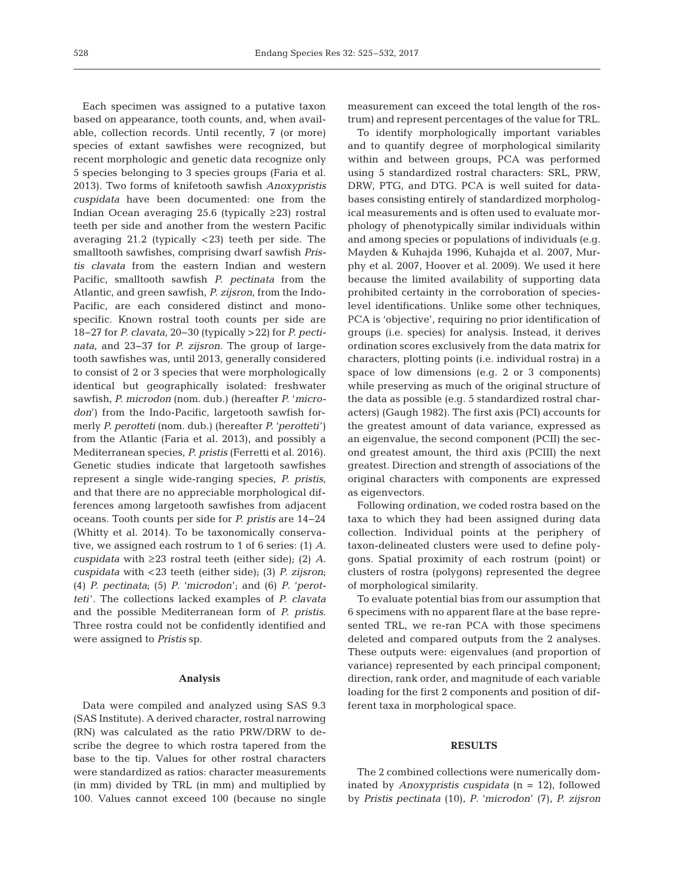Each specimen was assigned to a putative taxon based on appearance, tooth counts, and, when available, collection records. Until recently, 7 (or more) species of extant sawfishes were recognized, but recent morphologic and genetic data recognize only 5 species belonging to 3 species groups (Faria et al. 2013). Two forms of knifetooth sawfish *Anoxypristis cuspidata* have been documented: one from the Indian Ocean averaging 25.6 (typically ≥23) rostral teeth per side and another from the western Pacific averaging 21.2 (typically <23) teeth per side. The smalltooth sawfishes, comprising dwarf sawfish *Pristis clavata* from the eastern Indian and western Pacific, smalltooth sawfish *P. pectinata* from the Atlantic, and green sawfish, *P. zijsron*, from the Indo-Pacific, are each considered distinct and monospecific. Known rostral tooth counts per side are 18−27 for *P. clavata*, 20−30 (typically >22) for *P. pectinata*, and 23−37 for *P. zijsron*. The group of largetooth sawfishes was, until 2013, generally considered to consist of 2 or 3 species that were morphologically identical but geographically isolated: freshwater sawfish, *P. microdon* (nom. dub.) (hereafter *P.* '*micro don*') from the Indo-Pacific, largetooth sawfish formerly *P. perotteti* (nom. dub.) (hereafter *P.* '*perotteti*') from the Atlantic (Faria et al. 2013), and possibly a Mediterranean species, *P. pristis* (Ferretti et al. 2016). Genetic studies indicate that largetooth sawfishes represent a single wide-ranging species, *P. pristis*, and that there are no appreciable morphological differences among largetooth sawfishes from adjacent oceans. Tooth counts per side for *P. pristis* are 14−24 (Whitty et al. 2014). To be taxonomically conservative, we assigned each rostrum to 1 of 6 series: (1) A. *cuspidata* with ≥23 rostral teeth (either side); (2) *A. cuspidata* with <23 teeth (either side); (3) *P. zijsron*; (4) *P. pectinata*; (5) *P*. '*microdon*'; and (6) *P*. '*perotteti*'. The collections lacked examples of *P. clavata* and the possible Mediterranean form of *P. pristis*. Three rostra could not be confidently identified and were assigned to *Pristis* sp.

### **Analysis**

Data were compiled and analyzed using SAS 9.3 (SAS Institute). A derived character, rostral narrowing (RN) was calculated as the ratio PRW/DRW to describe the degree to which rostra tapered from the base to the tip. Values for other rostral characters were standardized as ratios: character measurements (in mm) divided by TRL (in mm) and multiplied by 100. Values cannot exceed 100 (because no single

measurement can exceed the total length of the rostrum) and represent percentages of the value for TRL.

To identify morphologically important variables and to quantify degree of morphological similarity within and between groups, PCA was performed using 5 standardized rostral characters: SRL, PRW, DRW, PTG, and DTG. PCA is well suited for databases consisting entirely of standardized morphological measurements and is often used to evaluate morphology of phenotypically similar individuals within and among species or populations of individuals (e.g. Mayden & Kuhajda 1996, Kuhajda et al. 2007, Murphy et al. 2007, Hoover et al. 2009). We used it here because the limited availability of supporting data prohibited certainty in the corroboration of specieslevel identifications. Unlike some other techniques, PCA is 'objective', requiring no prior identification of groups (i.e. species) for analysis. Instead, it derives ordination scores exclusively from the data matrix for characters, plotting points (i.e. individual rostra) in a space of low dimensions (e.g. 2 or 3 components) while preserving as much of the original structure of the data as possible (e.g. 5 standardized rostral characters) (Gaugh 1982). The first axis (PCI) accounts for the greatest amount of data variance, expressed as an eigenvalue, the second component (PCII) the second greatest amount, the third axis (PCIII) the next greatest. Direction and strength of associations of the original characters with components are expressed as eigenvectors.

Following ordination, we coded rostra based on the taxa to which they had been assigned during data collection. Individual points at the periphery of taxon- delineated clusters were used to define polygons. Spatial proximity of each rostrum (point) or clusters of rostra (polygons) represented the degree of morphological similarity.

To evaluate potential bias from our assumption that 6 specimens with no apparent flare at the base represented TRL, we re-ran PCA with those specimens deleted and compared outputs from the 2 analyses. These outputs were: eigenvalues (and proportion of variance) represented by each principal component; direction, rank order, and magnitude of each variable loading for the first 2 components and position of different taxa in morphological space.

#### **RESULTS**

The 2 combined collections were numerically dominated by *Anoxypristis cuspidata* (n = 12), followed by *Pristis pectinata* (10), *P*. '*microdon*' (7), *P. zijsron*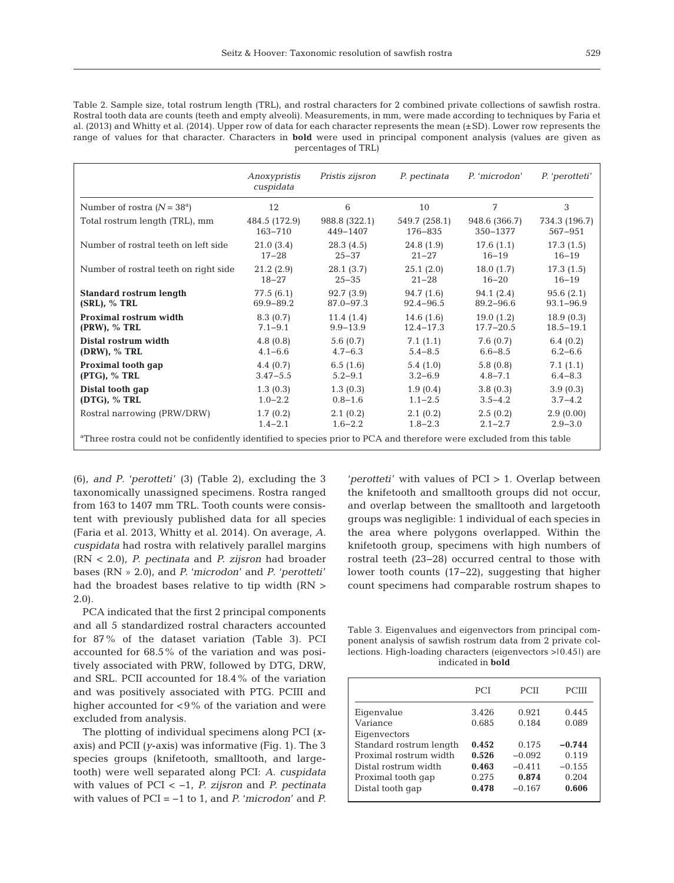Table 2. Sample size, total rostrum length (TRL), and rostral characters for 2 combined private collections of sawfish rostra. Rostral tooth data are counts (teeth and empty alveoli). Measurements, in mm, were made according to techniques by Faria et al. (2013) and Whitty et al. (2014). Upper row of data for each character represents the mean (±SD). Lower row represents the range of values for that character. Characters in **bold** were used in principal component analysis (values are given as percentages of TRL)

|                                                                                                                                   | Anoxypristis<br>cuspidata | Pristis zijsron | P. pectinata  | P. 'microdon' | P. 'perotteti' |  |  |
|-----------------------------------------------------------------------------------------------------------------------------------|---------------------------|-----------------|---------------|---------------|----------------|--|--|
| Number of rostra $(N = 38^a)$                                                                                                     | 12                        | 6               | 10            | 7             | 3              |  |  |
| Total rostrum length (TRL), mm                                                                                                    | 484.5 (172.9)             | 988.8 (322.1)   | 549.7 (258.1) | 948.6 (366.7) | 734.3 (196.7)  |  |  |
|                                                                                                                                   | $163 - 710$               | 449-1407        | 176-835       | 350-1377      | 567-951        |  |  |
| Number of rostral teeth on left side                                                                                              | 21.0(3.4)                 | 28.3(4.5)       | 24.8(1.9)     | 17.6(1.1)     | 17.3(1.5)      |  |  |
|                                                                                                                                   | $17 - 28$                 | $25 - 37$       | $21 - 27$     | $16 - 19$     | $16 - 19$      |  |  |
| Number of rostral teeth on right side                                                                                             | 21.2(2.9)                 | 28.1(3.7)       | 25.1(2.0)     | 18.0(1.7)     | 17.3(1.5)      |  |  |
|                                                                                                                                   | $18 - 27$                 | $25 - 35$       | $21 - 28$     | $16 - 20$     | $16 - 19$      |  |  |
| <b>Standard rostrum length</b>                                                                                                    | 77.5 (6.1)                | 92.7(3.9)       | 94.7(1.6)     | 94.1 (2.4)    | 95.6(2.1)      |  |  |
| $(SRL)$ , % TRL                                                                                                                   | 69.9-89.2                 | $87.0 - 97.3$   | $92.4 - 96.5$ | $89.2 - 96.6$ | $93.1 - 96.9$  |  |  |
| Proximal rostrum width                                                                                                            | 8.3(0.7)                  | 11.4(1.4)       | 14.6(1.6)     | 19.0(1.2)     | 18.9(0.3)      |  |  |
| $(PRW)$ , % TRL                                                                                                                   | $7.1 - 9.1$               | $9.9 - 13.9$    | $12.4 - 17.3$ | $17.7 - 20.5$ | $18.5 - 19.1$  |  |  |
| Distal rostrum width                                                                                                              | 4.8(0.8)                  | 5.6(0.7)        | 7.1(1.1)      | 7.6(0.7)      | 6.4 $(0.2)$    |  |  |
| $(DRW)$ , % TRL                                                                                                                   | $4.1 - 6.6$               | $4.7 - 6.3$     | $5.4 - 8.5$   | $6.6 - 8.5$   | $6.2 - 6.6$    |  |  |
| Proximal tooth gap                                                                                                                | 4.4(0.7)                  | 6.5(1.6)        | 5.4(1.0)      | 5.8(0.8)      | 7.1(1.1)       |  |  |
| $(PTG)$ , % TRL                                                                                                                   | $3.47 - 5.5$              | $5.2 - 9.1$     | $3.2 - 6.9$   | $4.8 - 7.1$   | $6.4 - 8.3$    |  |  |
| Distal tooth gap                                                                                                                  | 1.3(0.3)                  | 1.3(0.3)        | 1.9(0.4)      | 3.8(0.3)      | 3.9(0.3)       |  |  |
| $(DTG)$ , % TRL                                                                                                                   | $1.0 - 2.2$               | $0.8 - 1.6$     | $1.1 - 2.5$   | $3.5 - 4.2$   | $3.7 - 4.2$    |  |  |
| Rostral narrowing (PRW/DRW)                                                                                                       | 1.7(0.2)                  | 2.1(0.2)        | 2.1(0.2)      | 2.5(0.2)      | 2.9(0.00)      |  |  |
|                                                                                                                                   | $1.4 - 2.1$               | $1.6 - 2.2$     | $1.8 - 2.3$   | $2.1 - 2.7$   | $2.9 - 3.0$    |  |  |
| <sup>a</sup> Three rostra could not be confidently identified to species prior to PCA and therefore were excluded from this table |                           |                 |               |               |                |  |  |

(6), *and P*. '*perotteti*' (3) (Table 2), excluding the 3 taxonomically unassigned specimens. Rostra ranged from 163 to 1407 mm TRL. Tooth counts were consistent with previously published data for all species (Faria et al. 2013, Whitty et al. 2014). On average, *A. cuspidata* had rostra with relatively parallel margins (RN < 2.0), *P. pectinata* and *P. zijsron* had broader bases (RN » 2.0), and *P.* '*microdon*' and *P*. '*perotteti*' had the broadest bases relative to tip width (RN > 2.0).

PCA indicated that the first 2 principal components and all 5 standardized rostral characters accounted for 87% of the dataset variation (Table 3). PCI accounted for 68.5% of the variation and was positively associated with PRW, followed by DTG, DRW, and SRL. PCII accounted for 18.4% of the variation and was positively associated with PTG. PCIII and higher accounted for <9% of the variation and were excluded from analysis.

The plotting of individual specimens along PCI (*x*axis) and PCII (*y*-axis) was informative (Fig. 1). The 3 species groups (knifetooth, smalltooth, and largetooth) were well separated along PCI: *A. cuspidata* with values of PCI < −1, *P. zijsron* and *P. pectinata* with values of PCI = −1 to 1, and *P.* '*microdon*' and *P.* '*perotteti*' with values of PCI > 1. Overlap between the knifetooth and smalltooth groups did not occur, and overlap between the smalltooth and largetooth groups was negligible: 1 individual of each species in the area where polygons overlapped. Within the knifetooth group, specimens with high numbers of rostral teeth (23−28) occurred central to those with lower tooth counts (17−22), suggesting that higher count specimens had comparable rostrum shapes to

Table 3. Eigenvalues and eigenvectors from principal component analysis of sawfish rostrum data from 2 private collections. High-loading characters (eigenvectors >|0.45|) are indicated in **bold**

|                                        | <b>PCI</b>     | <b>PCII</b>    | PCIII          |
|----------------------------------------|----------------|----------------|----------------|
| Eigenvalue<br>Variance<br>Eigenvectors | 3.426<br>0.685 | 0.921<br>0.184 | 0.445<br>0.089 |
| Standard rostrum length                | 0.452          | 0.175          | $-0.744$       |
| Proximal rostrum width                 | 0.526          | $-0.092$       | 0.119          |
| Distal rostrum width                   | 0.463          | $-0.411$       | $-0.155$       |
| Proximal tooth gap                     | 0.275          | 0.874          | 0.204          |
| Distal tooth gap                       | 0.478          | $-0.167$       | 0.606          |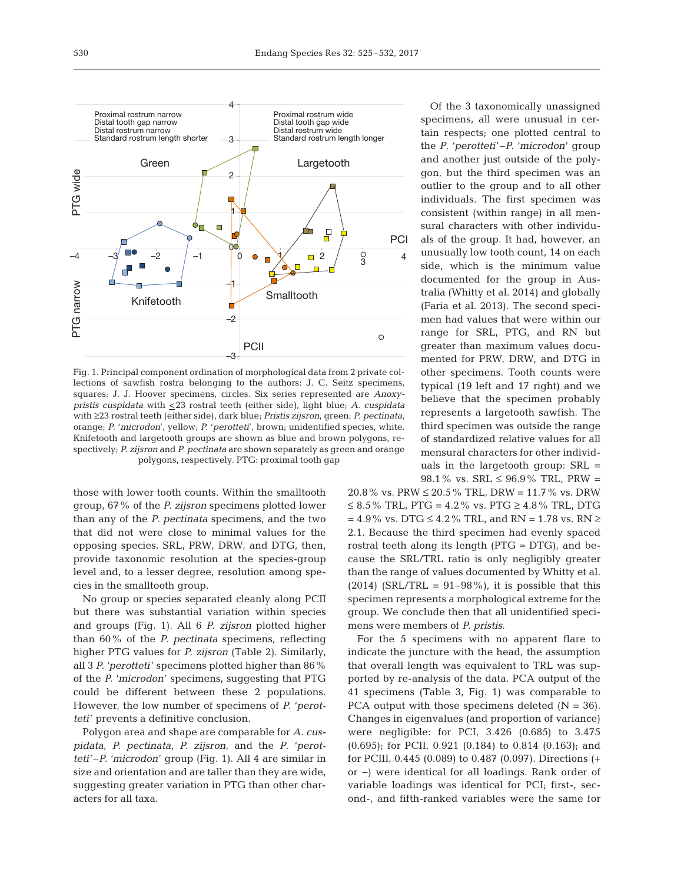

Fig. 1. Principal component ordination of morphological data from 2 private collections of sawfish rostra belonging to the authors: J. C. Seitz specimens, squares; J. J. Hoover specimens, circles. Six series represented are *Anoxy pristis cuspidata* with <23 rostral teeth (either side), light blue; *A. cuspidata* with ≥23 rostral teeth (either side), dark blue; *Pristis zijsron*, green; *P. pectinata*, orange; *P.* '*microdon*', yellow; *P.* '*perotteti*', brown; unidentified species, white. Knifetooth and largetooth groups are shown as blue and brown polygons, respectively; *P. zijsron* and *P. pectinata* are shown separately as green and orange polygons, respectively. PTG: proximal tooth gap

those with lower tooth counts. Within the smalltooth group, 67% of the *P. zijsron* specimens plotted lower than any of the *P. pectinata* specimens, and the two that did not were close to minimal values for the opposing species. SRL, PRW, DRW, and DTG, then, provide taxonomic resolution at the species-group level and, to a lesser degree, resolution among species in the smalltooth group.

No group or species separated cleanly along PCII but there was substantial variation within species and groups (Fig. 1). All 6 *P. zijsron* plotted higher than 60% of the *P. pectinata* specimens, reflecting higher PTG values for *P. zijsron* (Table 2). Similarly, all 3 *P.* '*perotteti*' specimens plotted higher than 86% of the *P.* '*microdon*' specimens, suggesting that PTG could be different between these 2 populations. How ever, the low number of specimens of *P.* '*perotteti*' prevents a definitive conclusion.

Polygon area and shape are comparable for *A. cuspidata*, *P. pectinata*, *P. zijsron*, and the *P*. '*perot teti*'−*P.* '*microdon*' group (Fig. 1). All 4 are similar in size and orientation and are taller than they are wide, suggesting greater variation in PTG than other characters for all taxa.

Of the 3 taxonomically unassigned specimens, all were unusual in certain respects; one plotted central to the *P*. '*perotteti*'−*P.* '*microdon*' group and another just outside of the polygon, but the third specimen was an outlier to the group and to all other individuals. The first specimen was consistent (within range) in all mensural characters with other individuals of the group. It had, however, an unusually low tooth count, 14 on each side, which is the minimum value documented for the group in Australia (Whitty et al. 2014) and globally (Faria et al. 2013). The second specimen had values that were within our range for SRL, PTG, and RN but greater than maximum values documented for PRW, DRW, and DTG in other specimens. Tooth counts were typical (19 left and 17 right) and we believe that the specimen probably represents a largetooth sawfish. The third specimen was outside the range of standardized relative values for all mensural characters for other individuals in the largetooth group: SRL = 98.1% vs. SRL  $\leq$  96.9% TRL, PRW =

20.8% vs. PRW ≤ 20.5% TRL, DRW = 11.7% vs. DRW ≤ 8.5% TRL, PTG = 4.2% vs. PTG ≥ 4.8% TRL, DTG  $= 4.9\%$  vs. DTG ≤ 4.2% TRL, and RN = 1.78 vs. RN ≥ 2.1. Because the third specimen had evenly spaced rostral teeth along its length (PTG  $\approx$  DTG), and because the SRL/TRL ratio is only negligibly greater than the range of values documented by Whitty et al.  $(2014)$  (SRL/TRL = 91–98%), it is possible that this specimen represents a morphological extreme for the group. We conclude then that all unidentified specimens were members of *P. pristis*.

For the 5 specimens with no apparent flare to indicate the juncture with the head, the assumption that overall length was equivalent to TRL was supported by re-analysis of the data. PCA output of the 41 specimens (Table 3, Fig. 1) was comparable to PCA output with those specimens deleted  $(N = 36)$ . Changes in eigenvalues (and proportion of variance) were negligible: for PCI, 3.426 (0.685) to 3.475  $(0.695)$ ; for PCII, 0.921  $(0.184)$  to 0.814  $(0.163)$ ; and for PCIII, 0.445 (0.089) to 0.487 (0.097). Directions (+ or −) were identical for all loadings. Rank order of variable loadings was identical for PCI; first-, second-, and fifth-ranked variables were the same for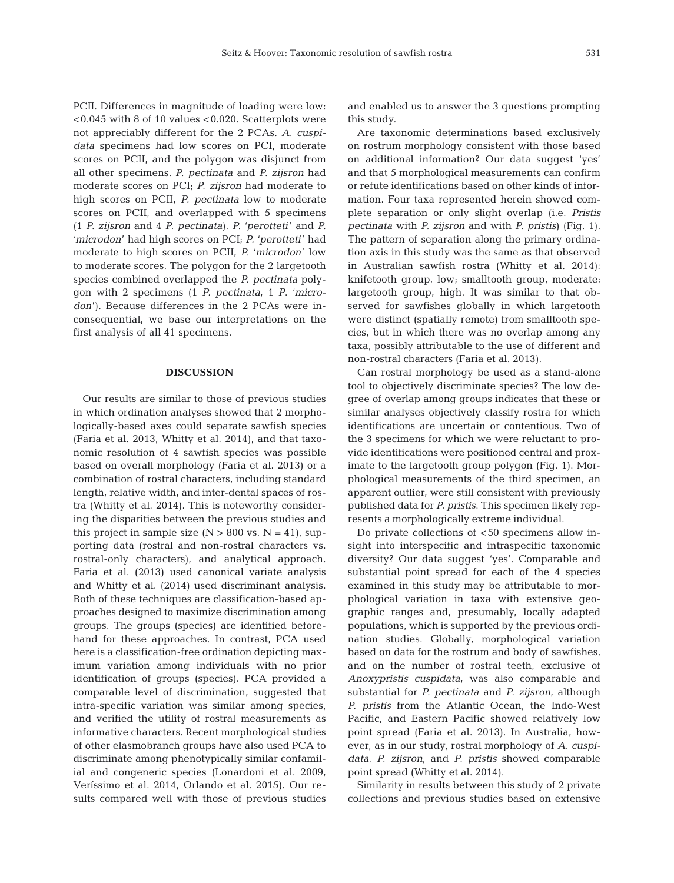PCII. Differences in magnitude of loading were low: <0.045 with 8 of 10 values <0.020. Scatterplots were not appreciably different for the 2 PCAs. *A*. *cuspidata* specimens had low scores on PCI, moderate scores on PCII, and the polygon was disjunct from all other specimens. *P. pectinata* and *P. zijsron* had moderate scores on PCI; *P. zijsron* had moderate to high scores on PCII, *P. pectinata* low to moderate scores on PCII, and overlapped with 5 specimens (1 *P. zijsron* and 4 *P. pectinata*). *P.* '*perotteti*' and *P.* '*microdon*' had high scores on PCI; *P.* '*perotteti*' had moderate to high scores on PCII, *P.* '*microdon*' low to moderate scores. The polygon for the 2 largetooth species combined overlapped the *P. pectinata* polygon with 2 specimens (1 *P. pectinata*, 1 *P*. '*micro*  don'). Because differences in the 2 PCAs were inconsequential, we base our interpretations on the first analysis of all 41 specimens.

### **DISCUSSION**

Our results are similar to those of previous studies in which ordination analyses showed that 2 morphologically-based axes could separate sawfish species (Faria et al. 2013, Whitty et al. 2014), and that taxonomic resolution of 4 sawfish species was possible based on overall morphology (Faria et al. 2013) or a combination of rostral characters, including standard length, relative width, and inter-dental spaces of rostra (Whitty et al. 2014). This is noteworthy considering the disparities between the previous studies and this project in sample size  $(N > 800 \text{ vs. } N = 41)$ , supporting data (rostral and non-rostral characters vs. rostral-only characters), and analytical approach. Faria et al. (2013) used canonical variate analysis and Whitty et al. (2014) used discriminant analysis. Both of these techniques are classification-based ap proaches designed to maximize discrimination among groups. The groups (species) are identified beforehand for these approaches. In contrast, PCA used here is a classification-free ordination depicting maximum variation among individuals with no prior identification of groups (species). PCA provided a comparable level of discrimination, suggested that intra-specific variation was similar among species, and verified the utility of rostral measurements as informative characters. Recent morphological studies of other elasmobranch groups have also used PCA to discriminate among phenotypically similar confamilial and congeneric species (Lonardoni et al. 2009, Veríssimo et al. 2014, Orlando et al. 2015). Our re sults compared well with those of previous studies and enabled us to answer the 3 questions prompting this study.

Are taxonomic determinations based exclusively on rostrum morphology consistent with those based on additional information? Our data suggest 'yes' and that 5 morphological measurements can confirm or refute identifications based on other kinds of information. Four taxa represented herein showed complete separation or only slight overlap (i.e. *Pristis pectinata* with *P. zijsron* and with *P. pristis*) (Fig. 1). The pattern of separation along the primary ordination axis in this study was the same as that observed in Australian sawfish rostra (Whitty et al. 2014): knifetooth group, low; smalltooth group, moderate; largetooth group, high. It was similar to that observed for sawfishes globally in which largetooth were distinct (spatially remote) from smalltooth species, but in which there was no overlap among any taxa, possibly attributable to the use of different and non-rostral characters (Faria et al. 2013).

Can rostral morphology be used as a stand-alone tool to objectively discriminate species? The low de gree of overlap among groups indicates that these or similar analyses objectively classify rostra for which identifications are uncertain or contentious. Two of the 3 specimens for which we were reluctant to provide identifications were positioned central and proximate to the largetooth group polygon (Fig. 1). Morphological measurements of the third specimen, an apparent outlier, were still consistent with previously published data for *P. pristis*. This specimen likely represents a morphologically extreme individual.

Do private collections of  $<$  50 specimens allow insight into interspecific and intraspecific taxonomic diversity? Our data suggest 'yes'. Comparable and substantial point spread for each of the 4 species examined in this study may be attributable to morphological variation in taxa with extensive geographic ranges and, presumably, locally adapted populations, which is supported by the previous ordination studies. Globally, morphological variation based on data for the rostrum and body of sawfishes, and on the number of rostral teeth, exclusive of *Anoxypristis cuspidata*, was also comparable and substantial for *P. pectinata* and *P. zijsron*, although *P. pristis* from the Atlantic Ocean, the Indo-West Pacific, and Eastern Pacific showed relatively low point spread (Faria et al. 2013). In Australia, however, as in our study, rostral morphology of *A. cuspidata*, *P. zijsron*, and *P. pristis* showed comparable point spread (Whitty et al. 2014).

Similarity in results between this study of 2 private collections and previous studies based on extensive